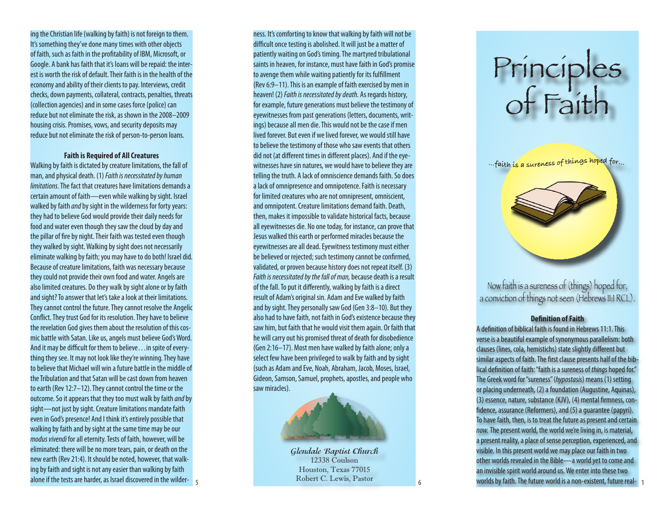ing the Christian life (walking by faith) is not foreign to them. It's something they've done many times with other objects of faith, such as faith in the profitability of IBM, Microsoft, or Google. A bank has faith that it's loans will be repaid: the interest is worth the risk of default. Their faith is in the health of the economy and ability of their clients to pay. Interviews, credit checks, down payments, collateral, contracts, penalties, threats (collection agencies) and in some cases force (police) can reduce but not eliminate the risk, as shown in the 2008–2009 housing crisis. Promises, vows, and security deposits may reduce but not eliminate the risk of person-to-person loans.

#### **Faith is Required of All Creatures**

Walking by faith is dictated by creature limitations, the fall of man, and physical death. (1) *Faith is necessitated by human limitations*. The fact that creatures have limitations demands a certain amount of faith—even while walking by sight. Israel walked by faith *and* by sight in the wilderness for forty years: they had to believe God would provide their daily needs for food and water even though they saw the cloud by day and the pillar of fire by night. Their faith was tested even though they walked by sight. Walking by sight does not necessarily eliminate walking by faith; you may have to do both! Israel did. Because of creature limitations, faith was necessary because they could not provide their own food and water. Angels are also limited creatures. Do they walk by sight alone or by faith and sight? To answer that let's take a look at their limitations. They cannot control the future. They cannot resolve the Angelic Conflict. They trust God for its resolution. They have to believe the revelation God gives them about the resolution of this cosmic battle with Satan. Like us, angels must believe God's Word. And it may be difficult for them to believe…in spite of everything they see. It may not look like they're winning. They have to believe that Michael will win a future battle in the middle of the Tribulation and that Satan will be cast down from heaven to earth (Rev 12:7–12). They cannot control the time or the outcome. So it appears that they too must walk by faith *and* by sight—not just by sight. Creature limitations mandate faith even in God's presence! And I think it's entirely possible that walking by faith and by sight at the same time may be our *modus vivendi* for all eternity. Tests of faith, however, will be eliminated: there will be no more tears, pain, or death on the new earth (Rev 21:4). It should be noted, however, that walking by faith and sight is not any easier than walking by faith alone if the tests are harder, as Israel discovered in the wilder-

ness. It's comforting to know that walking by faith will not be difficult once testing is abolished. It will just be a matter of patiently waiting on God's timing. The martyred tribulational saints in heaven, for instance, must have faith in God's promise to avenge them while waiting patiently for its fulfillment (Rev 6:9–11). This is an example of faith exercised by men in heaven! (2) *Faith is necessitated by death.* As regards history, for example, future generations must believe the testimony of eyewitnesses from past generations (letters, documents, writings) because all men die. This would not be the case if men lived forever. But even if we lived forever, we would still have to believe the testimony of those who saw events that others did not (at different times in different places). And if the eyewitnesses have sin natures, we would have to believe they are telling the truth. A lack of omniscience demands faith. So does a lack of omnipresence and omnipotence. Faith is necessary for limited creatures who are not omnipresent, omniscient, and omnipotent. Creature limitations demand faith. Death, then, makes it impossible to validate historical facts, because all eyewitnesses die. No one today, for instance, can prove that Jesus walked this earth or performed miracles because the eyewitnesses are all dead. Eyewitness testimony must either be believed or rejected; such testimony cannot be confirmed, validated, or proven because history does not repeat itself. (3) *Faith is necessitated by the fall of man,* because death is a result of the fall. To put it differently, walking by faith is a direct result of Adam's original sin. Adam and Eve walked by faith and by sight. They personally saw God (Gen 3:8–10). But they also had to have faith, not faith in God's existence because they saw him, but faith that he would visit them again. Or faith that he will carry out his promised threat of death for disobedience (Gen 2:16–17). Most men have walked by faith alone; only a select few have been privileged to walk by faith and by sight (such as Adam and Eve, Noah, Abraham, Jacob, Moses, Israel, Gideon, Samson, Samuel, prophets, apostles, and people who saw miracles).



**Glendale Baptist Church** 12338 Coulson Houston, Texas 77015 Robert C. Lewis, Pastor

# Principles of Faith



Now faith is a sureness of (things) hoped for, a conviction of things not seen (Hebrews 11:1 RCL).

## **Definition of Faith**

A definition of biblical faith is found in Hebrews 11:1. This verse is a beautiful example of synonymous parallelism: both clauses (lines, cola, hemistichs) state slightly different but similar aspects of faith. The first clause presents half of the biblical definition of faith: "faith is a sureness of *things* hoped for." The Greek word for "sureness" (*hypostasis*) means (1) setting or placing underneath, (2) a foundation (Augustine, Aquinas), (3) essence, nature, substance (KJV), (4) mental firmness, confidence, assurance (Reformers), and (5) a guarantee (papyri). To have faith, then, is to treat the future as present and certain *now.* The present world, the world we're living in, is material, a present reality, a place of sense perception, experienced, and visible. In this present world we may place our faith in two other worlds revealed in the Bible—a world yet to come and an invisible spirit world around us. We enter into these two 5 6 worlds by faith. The future world is a non-existent, future real- 1